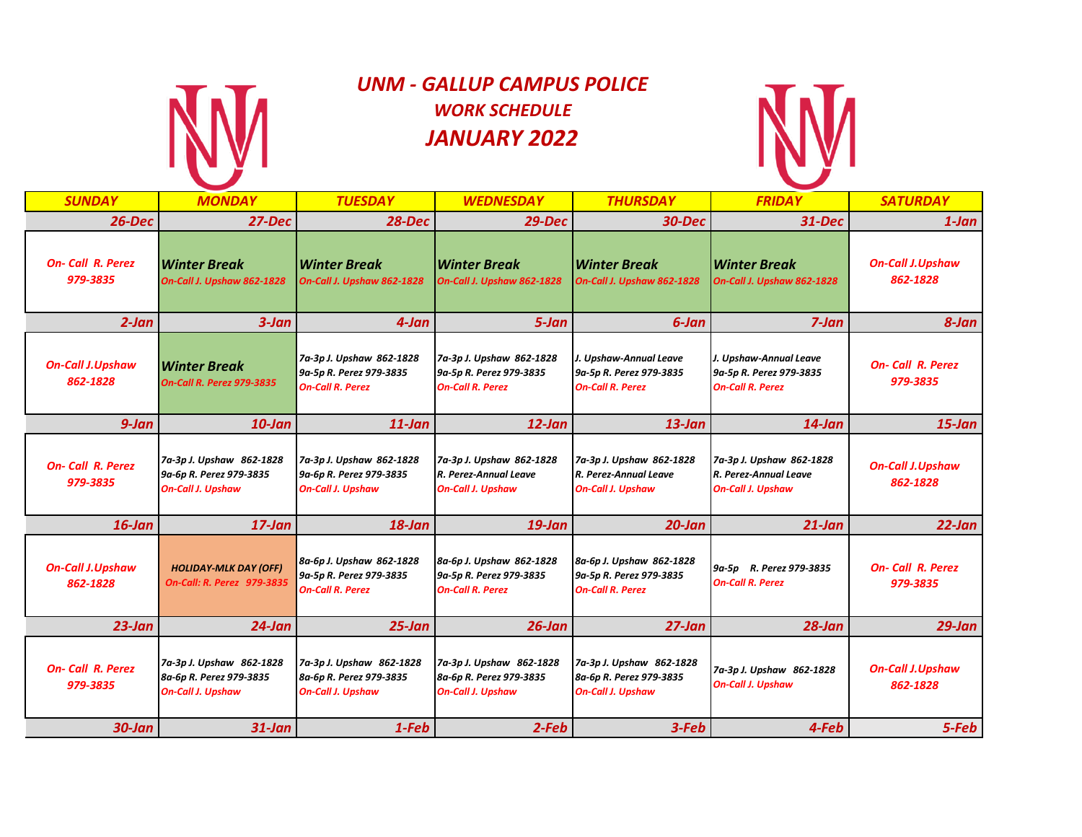

# *UNM - GALLUP CAMPUS POLICE WORK SCHEDULE JANUARY 2022*



| <b>SUNDAY</b>                       | <b>MONDAY</b>                                                                   | <b>TUESDAY</b>                                                                  | <b>WEDNESDAY</b>                                                                | <b>THURSDAY</b>                                                                 | <b>FRIDAY</b>                                                                 | <b>SATURDAY</b>                     |
|-------------------------------------|---------------------------------------------------------------------------------|---------------------------------------------------------------------------------|---------------------------------------------------------------------------------|---------------------------------------------------------------------------------|-------------------------------------------------------------------------------|-------------------------------------|
| $26$ -Dec                           | 27-Dec                                                                          | <b>28-Dec</b>                                                                   | $29$ -Dec                                                                       | <b>30-Dec</b>                                                                   | $31 - Dec$                                                                    | 1-Jan                               |
| <b>On-Call R. Perez</b><br>979-3835 | <b>Winter Break</b><br>On-Call J. Upshaw 862-1828                               | Winter Break<br>On-Call J. Upshaw 862-1828                                      | <b>Winter Break</b><br>On-Call J. Upshaw 862-1828                               | Winter Break<br>On-Call J. Upshaw 862-1828                                      | <b>Winter Break</b><br>On-Call J. Upshaw 862-1828                             | <b>On-Call J.Upshaw</b><br>862-1828 |
| $2$ -Jan                            | $3$ -Jan                                                                        | 4-Jan                                                                           | 5-Jan                                                                           | 6-Jan                                                                           | $7$ -Jan                                                                      | 8-Jan                               |
| <b>On-Call J.Upshaw</b><br>862-1828 | <b>Winter Break</b><br><b>On-Call R. Perez 979-3835</b>                         | 7a-3p J. Upshaw 862-1828<br>9a-5p R. Perez 979-3835<br><b>On-Call R. Perez</b>  | 7a-3p J. Upshaw 862-1828<br>9a-5p R. Perez 979-3835<br><b>On-Call R. Perez</b>  | J. Upshaw-Annual Leave<br>9a-5p R. Perez 979-3835<br><b>On-Call R. Perez</b>    | J. Upshaw-Annual Leave<br>9a-5p R. Perez 979-3835<br>On-Call R. Perez         | <b>On-Call R. Perez</b><br>979-3835 |
| $9$ -Jan                            | $10$ -Jan                                                                       | $11$ -Jan                                                                       | $12$ -Jan                                                                       | $13$ -Jan                                                                       | $14$ -Jan                                                                     | $15$ -Jan                           |
| <b>On-Call R. Perez</b><br>979-3835 | 7a-3p J. Upshaw 862-1828<br>9a-6p R. Perez 979-3835<br><b>On-Call J. Upshaw</b> | 7a-3p J. Upshaw 862-1828<br>9a-6p R. Perez 979-3835<br><b>On-Call J. Upshaw</b> | 7a-3p J. Upshaw 862-1828<br>R. Perez-Annual Leave<br><b>On-Call J. Upshaw</b>   | 7a-3p J. Upshaw 862-1828<br>R. Perez-Annual Leave<br><b>On-Call J. Upshaw</b>   | 7a-3p J. Upshaw 862-1828<br>R. Perez-Annual Leave<br><b>On-Call J. Upshaw</b> | <b>On-Call J.Upshaw</b><br>862-1828 |
| $16$ -Jan                           | $17$ -Jan                                                                       | $18$ -Jan                                                                       | $19$ -Jan                                                                       | $20$ -Jan                                                                       | $21$ -Jan                                                                     | $22$ -Jan                           |
| <b>On-Call J.Upshaw</b><br>862-1828 | <b>HOLIDAY-MLK DAY (OFF)</b><br>On-Call: R. Perez 979-3835                      | 8a-6p J. Upshaw 862-1828<br>9a-5p R. Perez 979-3835<br><b>On-Call R. Perez</b>  | 8a-6p J. Upshaw 862-1828<br>9a-5p R. Perez 979-3835<br><b>On-Call R. Perez</b>  | 8a-6p J. Upshaw 862-1828<br>9a-5p R. Perez 979-3835<br><b>On-Call R. Perez</b>  | 9a-5p R. Perez 979-3835<br>On-Call R. Perez                                   | <b>On-Call R. Perez</b><br>979-3835 |
| $23$ -Jan                           | $24$ -Jan                                                                       | $25$ -Jan                                                                       | $26$ -Jan                                                                       | $27$ -Jan                                                                       | $28$ -Jan                                                                     | $29$ -Jan                           |
| <b>On-Call R. Perez</b><br>979-3835 | 7a-3p J. Upshaw 862-1828<br>8a-6p R. Perez 979-3835<br><b>On-Call J. Upshaw</b> | 7a-3p J. Upshaw 862-1828<br>8a-6p R. Perez 979-3835<br><b>On-Call J. Upshaw</b> | 7a-3p J. Upshaw 862-1828<br>8a-6p R. Perez 979-3835<br><b>On-Call J. Upshaw</b> | 7a-3p J. Upshaw 862-1828<br>8a-6p R. Perez 979-3835<br><b>On-Call J. Upshaw</b> | 7a-3p J. Upshaw 862-1828<br><b>On-Call J. Upshaw</b>                          | <b>On-Call J.Upshaw</b><br>862-1828 |
| $30$ -Jan                           | $31$ -Jan                                                                       | 1-Feb                                                                           | $2$ -Feb                                                                        | 3-Feb                                                                           | 4-Feb                                                                         | 5-Feb                               |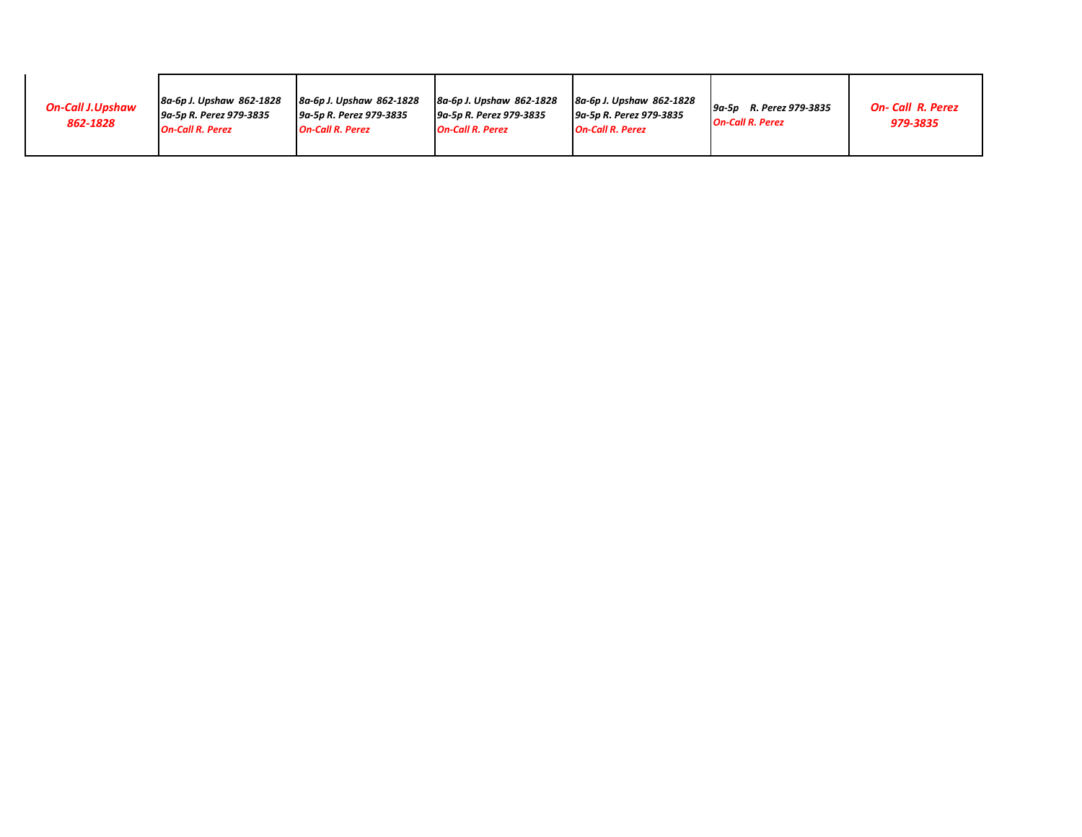| <b>On-Call J.Upshaw</b><br>862-1828 | 8a-6p J. Upshaw 862-1828<br>9a-5p R. Perez 979-3835<br><b>On-Call R. Perez</b> | 8a-6p J. Upshaw 862-1828<br>9a-5p R. Perez 979-3835<br><b>On-Call R. Perez</b> | 8a-6p J. Upshaw 862-1828<br><u> I 9a-5p R. Perez 979-3835</u><br><b>On-Call R. Perez</b> | 8a-6p J. Upshaw 862-1828<br>9a-5p R. Perez 979-3835<br><b>On-Call R. Perez</b> | R. Perez 979-3835<br>9a 5p<br><b>On-Call R. Perez</b> | <b>On-Call R. Perez</b><br>979-3835 |
|-------------------------------------|--------------------------------------------------------------------------------|--------------------------------------------------------------------------------|------------------------------------------------------------------------------------------|--------------------------------------------------------------------------------|-------------------------------------------------------|-------------------------------------|
|-------------------------------------|--------------------------------------------------------------------------------|--------------------------------------------------------------------------------|------------------------------------------------------------------------------------------|--------------------------------------------------------------------------------|-------------------------------------------------------|-------------------------------------|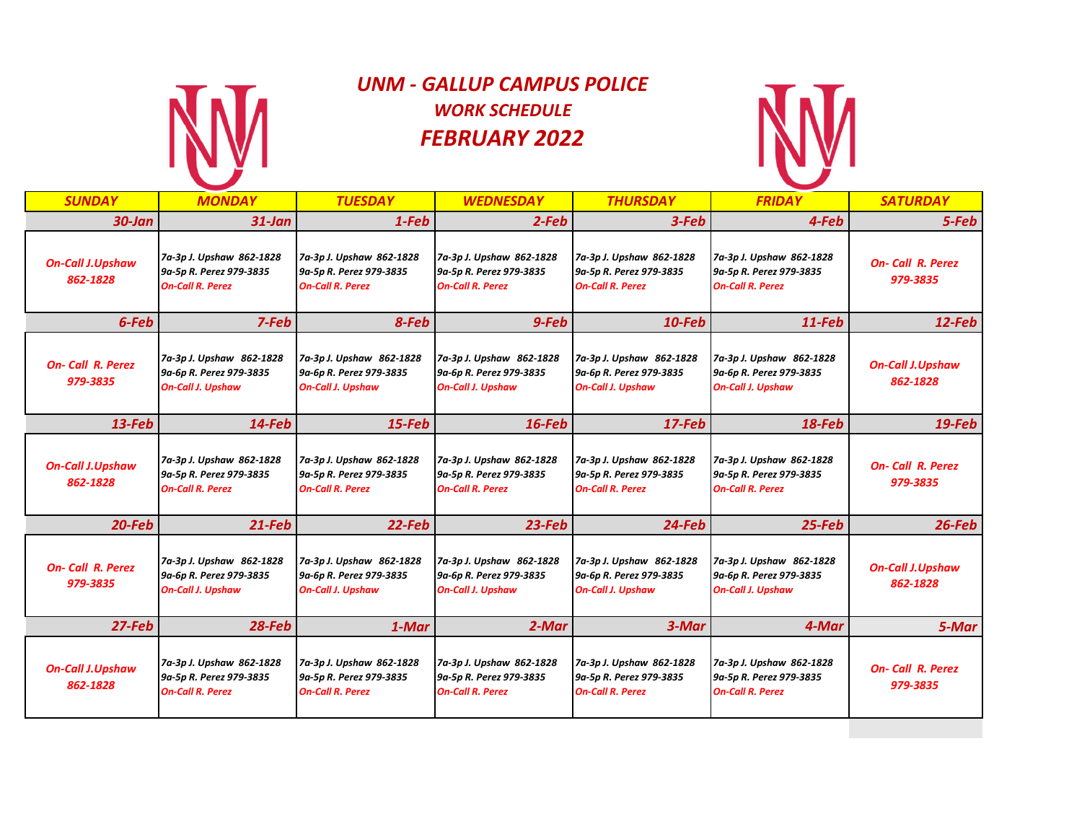

# *UNM - GALLUP CAMPUS POLICE WORK SCHEDULE FEBRUARY 2022*



| <b>SUNDAY</b>                       | <b>MONDAY</b>                                                                   | <b>TUESDAY</b>                                                                  | <b>WEDNESDAY</b>                                                                | <b>THURSDAY</b>                                                                 | <b>FRIDAY</b>                                                                   | <b>SATURDAY</b>                     |
|-------------------------------------|---------------------------------------------------------------------------------|---------------------------------------------------------------------------------|---------------------------------------------------------------------------------|---------------------------------------------------------------------------------|---------------------------------------------------------------------------------|-------------------------------------|
| $30$ -Jan                           | $31$ -Jan                                                                       | $1-Feb$                                                                         | $2-Feb$                                                                         | 3-Feb                                                                           | 4-Feb                                                                           | 5-Feb                               |
| <b>On-Call J.Upshaw</b><br>862-1828 | 7a-3p J. Upshaw 862-1828<br>9a-5p R. Perez 979-3835<br><b>On-Call R. Perez</b>  | 7a-3p J. Upshaw 862-1828<br>9a-5p R. Perez 979-3835<br><b>On-Call R. Perez</b>  | 7a-3p J. Upshaw 862-1828<br>9a-5p R. Perez 979-3835<br><b>On-Call R. Perez</b>  | 7a-3p J. Upshaw 862-1828<br>9a-5p R. Perez 979-3835<br><b>On-Call R. Perez</b>  | 7a-3p J. Upshaw 862-1828<br>9a-5p R. Perez 979-3835<br><b>On-Call R. Perez</b>  | <b>On-Call R. Perez</b><br>979-3835 |
| 6-Feb                               | 7-Feb                                                                           | 8-Feb                                                                           | 9-Feb                                                                           | $10$ -Feb                                                                       | $11$ -Feb                                                                       | $12$ -Feb                           |
| <b>On-Call R. Perez</b><br>979-3835 | 7a-3p J. Upshaw 862-1828<br>9a-6p R. Perez 979-3835<br><b>On-Call J. Upshaw</b> | 7a-3p J. Upshaw 862-1828<br>9a-6p R. Perez 979-3835<br><b>On-Call J. Upshaw</b> | 7a-3p J. Upshaw 862-1828<br>9a-6p R. Perez 979-3835<br><b>On-Call J. Upshaw</b> | 7a-3p J. Upshaw 862-1828<br>9a-6p R. Perez 979-3835<br><b>On-Call J. Upshaw</b> | 7a-3p J. Upshaw 862-1828<br>9a-6p R. Perez 979-3835<br><b>On-Call J. Upshaw</b> | <b>On-Call J.Upshaw</b><br>862-1828 |
| $13$ -Feb                           | 14-Feb                                                                          | $15$ -Feb                                                                       | $16$ -Feb                                                                       | $17$ -Feb                                                                       | $18$ -Feb                                                                       | $19$ -Feb                           |
| <b>On-Call J.Upshaw</b><br>862-1828 | 7a-3p J. Upshaw 862-1828<br>9a-5p R. Perez 979-3835<br><b>On-Call R. Perez</b>  | 7a-3p J. Upshaw 862-1828<br>9a-5p R. Perez 979-3835<br><b>On-Call R. Perez</b>  | 7a-3p J. Upshaw 862-1828<br>9a-5p R. Perez 979-3835<br><b>On-Call R. Perez</b>  | 7a-3p J. Upshaw 862-1828<br>9a-5p R. Perez 979-3835<br><b>On-Call R. Perez</b>  | 7a-3p J. Upshaw 862-1828<br>9a-5p R. Perez 979-3835<br><b>On-Call R. Perez</b>  | <b>On-Call R. Perez</b><br>979-3835 |
| 20-Feb                              | $21$ -Feb                                                                       | $22$ -Feb                                                                       | $23$ -Feb                                                                       | $24$ -Feb                                                                       | $25$ -Feb                                                                       | $26$ -Feb                           |
| <b>On-Call R. Perez</b><br>979-3835 | 7a-3p J. Upshaw 862-1828<br>9a-6p R. Perez 979-3835<br><b>On-Call J. Upshaw</b> | 7a-3p J. Upshaw 862-1828<br>9a-6p R. Perez 979-3835<br><b>On-Call J. Upshaw</b> | 7a-3p J. Upshaw 862-1828<br>9a-6p R. Perez 979-3835<br><b>On-Call J. Upshaw</b> | 7a-3p J. Upshaw 862-1828<br>9a-6p R. Perez 979-3835<br><b>On-Call J. Upshaw</b> | 7a-3p J. Upshaw 862-1828<br>9a-6p R. Perez 979-3835<br><b>On-Call J. Upshaw</b> | <b>On-Call J.Upshaw</b><br>862-1828 |
| $27$ -Feb                           | $28$ -Feb                                                                       | 1-Mar                                                                           | 2-Mar                                                                           | 3-Mar                                                                           | 4-Mar                                                                           | 5-Mar                               |
| <b>On-Call J.Upshaw</b><br>862-1828 | 7a-3p J. Upshaw 862-1828<br>9a-5p R. Perez 979-3835<br><b>On-Call R. Perez</b>  | 7a-3p J. Upshaw 862-1828<br>9a-5p R. Perez 979-3835<br><b>On-Call R. Perez</b>  | 7a-3p J. Upshaw 862-1828<br>9a-5p R. Perez 979-3835<br><b>On-Call R. Perez</b>  | 7a-3p J. Upshaw 862-1828<br>9a-5p R. Perez 979-3835<br><b>On-Call R. Perez</b>  | 7a-3p J. Upshaw 862-1828<br>9a-5p R. Perez 979-3835<br><b>On-Call R. Perez</b>  | <b>On-Call R. Perez</b><br>979-3835 |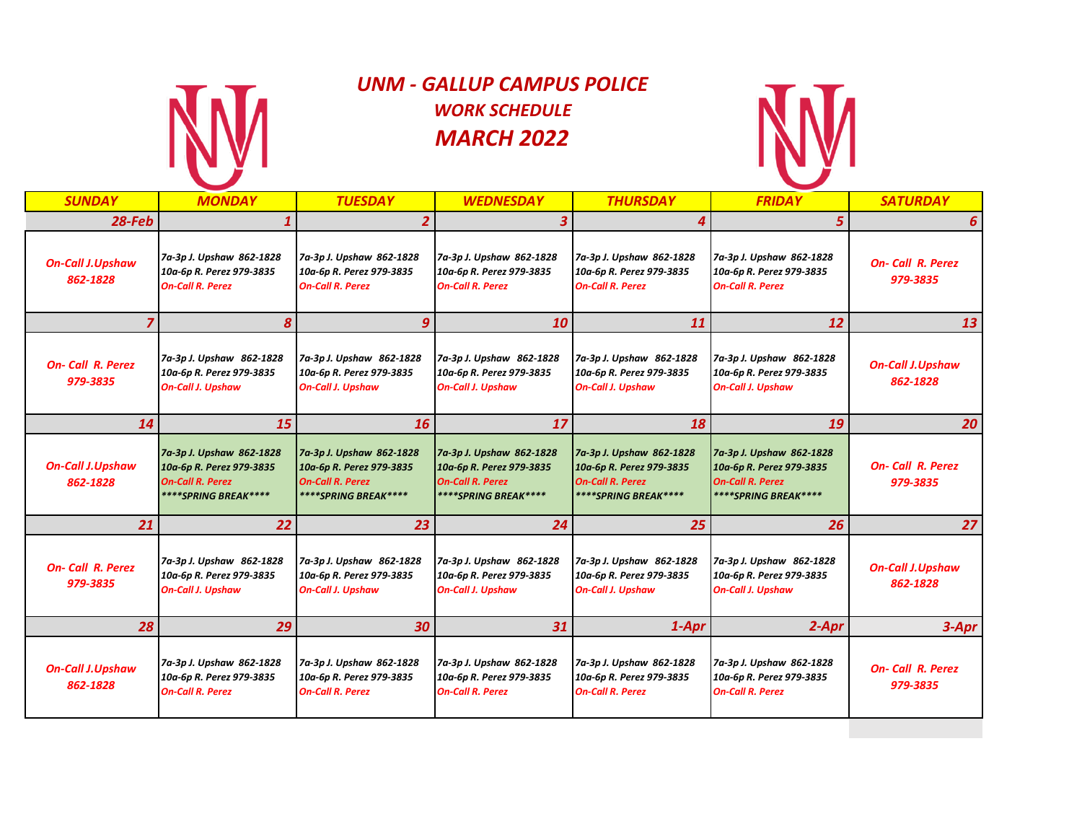

# *UNM - GALLUP CAMPUS POLICE WORK SCHEDULE MARCH 2022*



| <b>SUNDAY</b>                       | <b>MONDAY</b>                                                                                           | <b>TUESDAY</b>                                                                                          | <b>WEDNESDAY</b>                                                                                        | <b>THURSDAY</b>                                                                                                | <b>FRIDAY</b>                                                                                           | <b>SATURDAY</b>                     |
|-------------------------------------|---------------------------------------------------------------------------------------------------------|---------------------------------------------------------------------------------------------------------|---------------------------------------------------------------------------------------------------------|----------------------------------------------------------------------------------------------------------------|---------------------------------------------------------------------------------------------------------|-------------------------------------|
| $28$ -Feb                           | $\boldsymbol{1}$                                                                                        |                                                                                                         | 3                                                                                                       |                                                                                                                | 5                                                                                                       | 6                                   |
| <b>On-Call J.Upshaw</b><br>862-1828 | 7a-3p J. Upshaw 862-1828<br>10a-6p R. Perez 979-3835<br><b>On-Call R. Perez</b>                         | 7a-3p J. Upshaw 862-1828<br>10a-6p R. Perez 979-3835<br><b>On-Call R. Perez</b>                         | 7a-3p J. Upshaw 862-1828<br>10a-6p R. Perez 979-3835<br><b>On-Call R. Perez</b>                         | 7a-3p J. Upshaw 862-1828<br>10a-6p R. Perez 979-3835<br><b>On-Call R. Perez</b>                                | 7a-3p J. Upshaw 862-1828<br>10a-6p R. Perez 979-3835<br><b>On-Call R. Perez</b>                         | <b>On-Call R. Perez</b><br>979-3835 |
|                                     | 8                                                                                                       | 9                                                                                                       | 10                                                                                                      | 11                                                                                                             | 12                                                                                                      | 13                                  |
| <b>On-Call R. Perez</b><br>979-3835 | 7a-3p J. Upshaw 862-1828<br>10a-6p R. Perez 979-3835<br><b>On-Call J. Upshaw</b>                        | 7a-3p J. Upshaw 862-1828<br>10a-6p R. Perez 979-3835<br><b>On-Call J. Upshaw</b>                        | 7a-3p J. Upshaw 862-1828<br>10a-6p R. Perez 979-3835<br><b>On-Call J. Upshaw</b>                        | 7a-3p J. Upshaw 862-1828<br>10a-6p R. Perez 979-3835<br><b>On-Call J. Upshaw</b>                               | 7a-3p J. Upshaw 862-1828<br>10a-6p R. Perez 979-3835<br><b>On-Call J. Upshaw</b>                        | <b>On-Call J.Upshaw</b><br>862-1828 |
| 14                                  | 15                                                                                                      | 16                                                                                                      | 17                                                                                                      | 18                                                                                                             | 19                                                                                                      | 20 <sup>1</sup>                     |
| <b>On-Call J.Upshaw</b><br>862-1828 | 7a-3p J. Upshaw 862-1828<br>10a-6p R. Perez 979-3835<br><b>On-Call R. Perez</b><br>****SPRING BREAK**** | 7a-3p J. Upshaw 862-1828<br>10a-6p R. Perez 979-3835<br><b>On-Call R. Perez</b><br>****SPRING BREAK**** | 7a-3p J. Upshaw 862-1828<br>10a-6p R. Perez 979-3835<br><b>On-Call R. Perez</b><br>****SPRING BREAK**** | 7a-3p J. Upshaw 862-1828<br>10a-6p R. Perez 979-3835<br><b>On-Call R. Perez</b><br><b>****SPRING BREAK****</b> | 7a-3p J. Upshaw 862-1828<br>10a-6p R. Perez 979-3835<br><b>On-Call R. Perez</b><br>****SPRING BREAK**** | <b>On-Call R. Perez</b><br>979-3835 |
| 21                                  | 22                                                                                                      | 23                                                                                                      | 24                                                                                                      | 25                                                                                                             | 26                                                                                                      | 27                                  |
| <b>On-Call R. Perez</b><br>979-3835 | 7a-3p J. Upshaw 862-1828<br>10a-6p R. Perez 979-3835<br><b>On-Call J. Upshaw</b>                        | 7a-3p J. Upshaw 862-1828<br>10a-6p R. Perez 979-3835<br><b>On-Call J. Upshaw</b>                        | 7a-3p J. Upshaw 862-1828<br>10a-6p R. Perez 979-3835<br><b>On-Call J. Upshaw</b>                        | 7a-3p J. Upshaw 862-1828<br>10a-6p R. Perez 979-3835<br><b>On-Call J. Upshaw</b>                               | 7a-3p J. Upshaw 862-1828<br>10a-6p R. Perez 979-3835<br><b>On-Call J. Upshaw</b>                        | <b>On-Call J.Upshaw</b><br>862-1828 |
| 28                                  | 29                                                                                                      | 30                                                                                                      | 31                                                                                                      | 1-Apr                                                                                                          | $2-Apr$                                                                                                 | $3 - Apr$                           |
| <b>On-Call J.Upshaw</b><br>862-1828 | 7a-3p J. Upshaw 862-1828<br>10a-6p R. Perez 979-3835<br><b>On-Call R. Perez</b>                         | 7a-3p J. Upshaw 862-1828<br>10a-6p R. Perez 979-3835<br><b>On-Call R. Perez</b>                         | 7a-3p J. Upshaw 862-1828<br>10a-6p R. Perez 979-3835<br><b>On-Call R. Perez</b>                         | 7a-3p J. Upshaw 862-1828<br>10a-6p R. Perez 979-3835<br><b>On-Call R. Perez</b>                                | 7a-3p J. Upshaw 862-1828<br>10a-6p R. Perez 979-3835<br><b>On-Call R. Perez</b>                         | <b>On-Call R. Perez</b><br>979-3835 |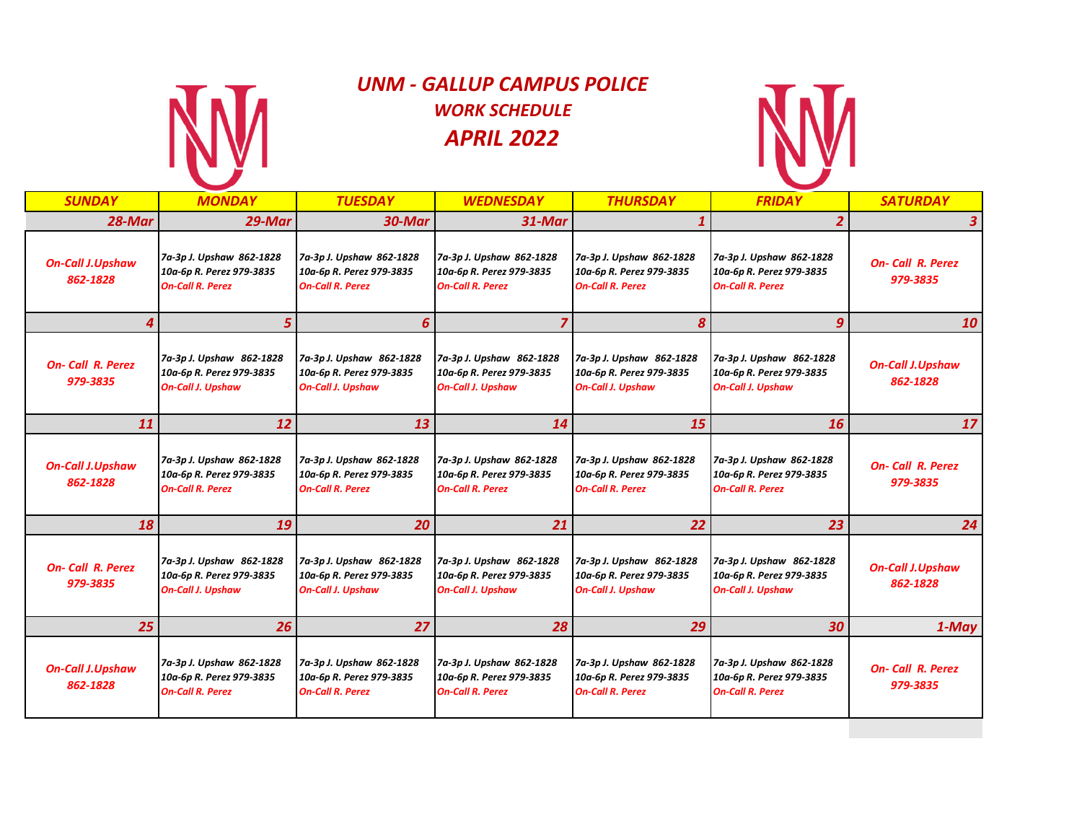

# *UNM - GALLUP CAMPUS POLICE WORK SCHEDULE APRIL 2022*



| <b>SUNDAY</b>                       | <b>MONDAY</b>                                                                    | <b>TUESDAY</b>                                                                   | <b>WEDNESDAY</b>                                                                 | <b>THURSDAY</b>                                                                  | <b>FRIDAY</b>                                                                    | <b>SATURDAY</b>                     |
|-------------------------------------|----------------------------------------------------------------------------------|----------------------------------------------------------------------------------|----------------------------------------------------------------------------------|----------------------------------------------------------------------------------|----------------------------------------------------------------------------------|-------------------------------------|
| 28-Mar                              | 29-Mar                                                                           | 30-Mar                                                                           | 31-Mar                                                                           |                                                                                  | $\overline{2}$                                                                   | 3                                   |
| <b>On-Call J.Upshaw</b><br>862-1828 | 7a-3p J. Upshaw 862-1828<br>10a-6p R. Perez 979-3835<br><b>On-Call R. Perez</b>  | 7a-3p J. Upshaw 862-1828<br>10a-6p R. Perez 979-3835<br><b>On-Call R. Perez</b>  | 7a-3p J. Upshaw 862-1828<br>10a-6p R. Perez 979-3835<br><b>On-Call R. Perez</b>  | 7a-3p J. Upshaw 862-1828<br>10a-6p R. Perez 979-3835<br><b>On-Call R. Perez</b>  | 7a-3p J. Upshaw 862-1828<br>10a-6p R. Perez 979-3835<br><b>On-Call R. Perez</b>  | <b>On-Call R. Perez</b><br>979-3835 |
| Δ                                   | 5                                                                                | 6                                                                                | 7                                                                                | 8                                                                                | 9                                                                                | 10 <sup>1</sup>                     |
| <b>On-Call R. Perez</b><br>979-3835 | 7a-3p J. Upshaw 862-1828<br>10a-6p R. Perez 979-3835<br><b>On-Call J. Upshaw</b> | 7a-3p J. Upshaw 862-1828<br>10a-6p R. Perez 979-3835<br><b>On-Call J. Upshaw</b> | 7a-3p J. Upshaw 862-1828<br>10a-6p R. Perez 979-3835<br><b>On-Call J. Upshaw</b> | 7a-3p J. Upshaw 862-1828<br>10a-6p R. Perez 979-3835<br><b>On-Call J. Upshaw</b> | 7a-3p J. Upshaw 862-1828<br>10a-6p R. Perez 979-3835<br><b>On-Call J. Upshaw</b> | <b>On-Call J.Upshaw</b><br>862-1828 |
| 11                                  | 12                                                                               | 13                                                                               | 14                                                                               | 15                                                                               | 16                                                                               | 17 <sup>1</sup>                     |
| <b>On-Call J.Upshaw</b><br>862-1828 | 7a-3p J. Upshaw 862-1828<br>10a-6p R. Perez 979-3835<br><b>On-Call R. Perez</b>  | 7a-3p J. Upshaw 862-1828<br>10a-6p R. Perez 979-3835<br><b>On-Call R. Perez</b>  | 7a-3p J. Upshaw 862-1828<br>10a-6p R. Perez 979-3835<br><b>On-Call R. Perez</b>  | 7a-3p J. Upshaw 862-1828<br>10a-6p R. Perez 979-3835<br><b>On-Call R. Perez</b>  | 7a-3p J. Upshaw 862-1828<br>10a-6p R. Perez 979-3835<br><b>On-Call R. Perez</b>  | <b>On-Call R. Perez</b><br>979-3835 |
| 18                                  | 19                                                                               | 20                                                                               | 21                                                                               | 22                                                                               | 23                                                                               | 24                                  |
| <b>On-Call R. Perez</b><br>979-3835 | 7a-3p J. Upshaw 862-1828<br>10a-6p R. Perez 979-3835<br><b>On-Call J. Upshaw</b> | 7a-3p J. Upshaw 862-1828<br>10a-6p R. Perez 979-3835<br><b>On-Call J. Upshaw</b> | 7a-3p J. Upshaw 862-1828<br>10a-6p R. Perez 979-3835<br><b>On-Call J. Upshaw</b> | 7a-3p J. Upshaw 862-1828<br>10a-6p R. Perez 979-3835<br><b>On-Call J. Upshaw</b> | 7a-3p J. Upshaw 862-1828<br>10a-6p R. Perez 979-3835<br><b>On-Call J. Upshaw</b> | <b>On-Call J.Upshaw</b><br>862-1828 |
| 25                                  | 26                                                                               | 27                                                                               | 28                                                                               | 29                                                                               | 30                                                                               | $1$ -May                            |
| <b>On-Call J.Upshaw</b><br>862-1828 | 7a-3p J. Upshaw 862-1828<br>10a-6p R. Perez 979-3835<br><b>On-Call R. Perez</b>  | 7a-3p J. Upshaw 862-1828<br>10a-6p R. Perez 979-3835<br><b>On-Call R. Perez</b>  | 7a-3p J. Upshaw 862-1828<br>10a-6p R. Perez 979-3835<br><b>On-Call R. Perez</b>  | 7a-3p J. Upshaw 862-1828<br>10a-6p R. Perez 979-3835<br><b>On-Call R. Perez</b>  | 7a-3p J. Upshaw 862-1828<br>10a-6p R. Perez 979-3835<br><b>On-Call R. Perez</b>  | <b>On-Call R. Perez</b><br>979-3835 |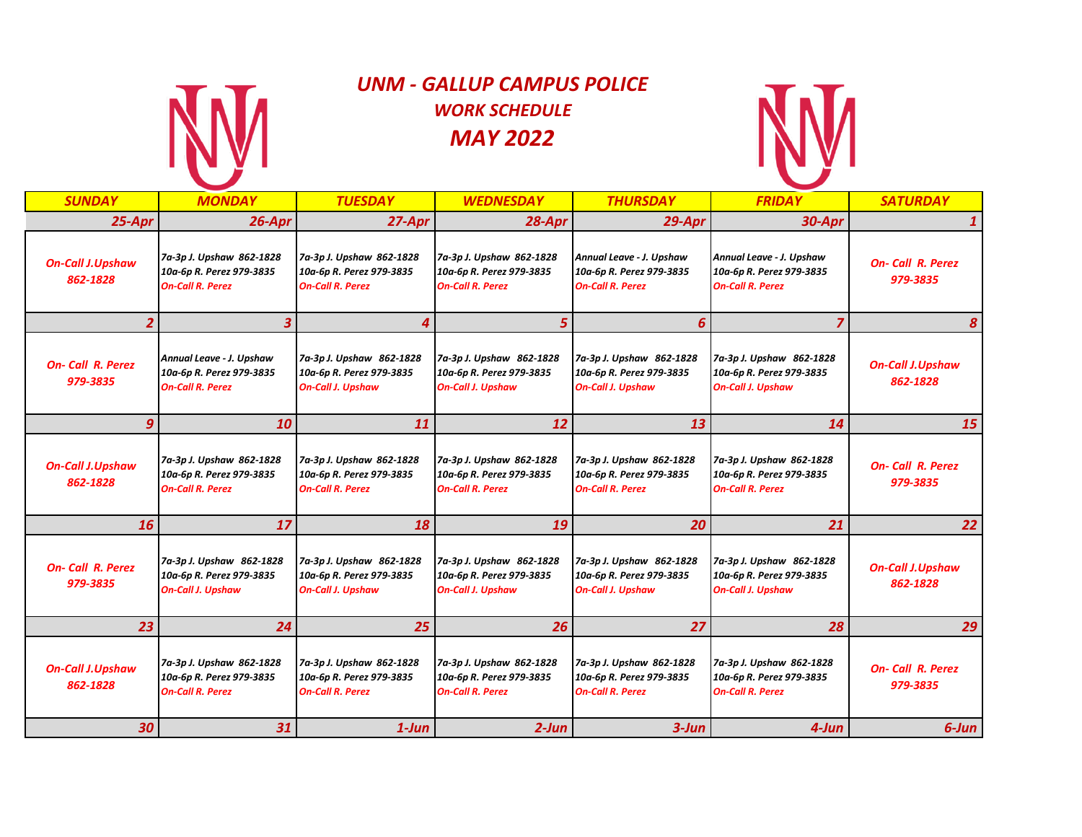

# *UNM - GALLUP CAMPUS POLICE WORK SCHEDULE MAY 2022*



| <b>SUNDAY</b>                       | <b>MONDAY</b>                                                                    | <b>TUESDAY</b>                                                                   | <b>WEDNESDAY</b>                                                                 | <b>THURSDAY</b>                                                                  | <b>FRIDAY</b>                                                                    | <b>SATURDAY</b>                     |
|-------------------------------------|----------------------------------------------------------------------------------|----------------------------------------------------------------------------------|----------------------------------------------------------------------------------|----------------------------------------------------------------------------------|----------------------------------------------------------------------------------|-------------------------------------|
| 25-Apr                              | 26-Apr                                                                           | 27-Apr                                                                           | $28$ -Apr                                                                        | 29-Apr                                                                           | 30-Apr                                                                           | $\mathbf{1}$                        |
| <b>On-Call J.Upshaw</b><br>862-1828 | 7a-3p J. Upshaw 862-1828<br>10a-6p R. Perez 979-3835<br><b>On-Call R. Perez</b>  | 7a-3p J. Upshaw 862-1828<br>10a-6p R. Perez 979-3835<br><b>On-Call R. Perez</b>  | 7a-3p J. Upshaw 862-1828<br>10a-6p R. Perez 979-3835<br><b>On-Call R. Perez</b>  | Annual Leave - J. Upshaw<br>10a-6p R. Perez 979-3835<br><b>On-Call R. Perez</b>  | Annual Leave - J. Upshaw<br>10a-6p R. Perez 979-3835<br><b>On-Call R. Perez</b>  | <b>On-Call R. Perez</b><br>979-3835 |
|                                     | 3                                                                                | 4                                                                                | 5                                                                                | 6                                                                                |                                                                                  | 8                                   |
| <b>On-Call R. Perez</b><br>979-3835 | Annual Leave - J. Upshaw<br>10a-6p R. Perez 979-3835<br><b>On-Call R. Perez</b>  | 7a-3p J. Upshaw 862-1828<br>10a-6p R. Perez 979-3835<br><b>On-Call J. Upshaw</b> | 7a-3p J. Upshaw 862-1828<br>10a-6p R. Perez 979-3835<br><b>On-Call J. Upshaw</b> | 7a-3p J. Upshaw 862-1828<br>10a-6p R. Perez 979-3835<br><b>On-Call J. Upshaw</b> | 7a-3p J. Upshaw 862-1828<br>10a-6p R. Perez 979-3835<br><b>On-Call J. Upshaw</b> | <b>On-Call J.Upshaw</b><br>862-1828 |
| 9                                   | 10                                                                               | 11                                                                               | 12                                                                               | 13                                                                               | 14                                                                               | 15                                  |
| <b>On-Call J.Upshaw</b><br>862-1828 | 7a-3p J. Upshaw 862-1828<br>10a-6p R. Perez 979-3835<br><b>On-Call R. Perez</b>  | 7a-3p J. Upshaw 862-1828<br>10a-6p R. Perez 979-3835<br><b>On-Call R. Perez</b>  | 7a-3p J. Upshaw 862-1828<br>10a-6p R. Perez 979-3835<br><b>On-Call R. Perez</b>  | 7a-3p J. Upshaw 862-1828<br>10a-6p R. Perez 979-3835<br><b>On-Call R. Perez</b>  | 7a-3p J. Upshaw 862-1828<br>10a-6p R. Perez 979-3835<br><b>On-Call R. Perez</b>  | <b>On-Call R. Perez</b><br>979-3835 |
| <b>16</b>                           | 17                                                                               | 18                                                                               | 19                                                                               | 20                                                                               | 21                                                                               | 22                                  |
| <b>On-Call R. Perez</b><br>979-3835 | 7a-3p J. Upshaw 862-1828<br>10a-6p R. Perez 979-3835<br><b>On-Call J. Upshaw</b> | 7a-3p J. Upshaw 862-1828<br>10a-6p R. Perez 979-3835<br><b>On-Call J. Upshaw</b> | 7a-3p J. Upshaw 862-1828<br>10a-6p R. Perez 979-3835<br><b>On-Call J. Upshaw</b> | 7a-3p J. Upshaw 862-1828<br>10a-6p R. Perez 979-3835<br><b>On-Call J. Upshaw</b> | 7a-3p J. Upshaw 862-1828<br>10a-6p R. Perez 979-3835<br><b>On-Call J. Upshaw</b> | <b>On-Call J.Upshaw</b><br>862-1828 |
| 23                                  | 24                                                                               | 25                                                                               | 26                                                                               | 27                                                                               | 28                                                                               | 29                                  |
| <b>On-Call J.Upshaw</b><br>862-1828 | 7a-3p J. Upshaw 862-1828<br>10a-6p R. Perez 979-3835<br><b>On-Call R. Perez</b>  | 7a-3p J. Upshaw 862-1828<br>10a-6p R. Perez 979-3835<br><b>On-Call R. Perez</b>  | 7a-3p J. Upshaw 862-1828<br>10a-6p R. Perez 979-3835<br><b>On-Call R. Perez</b>  | 7a-3p J. Upshaw 862-1828<br>10a-6p R. Perez 979-3835<br><b>On-Call R. Perez</b>  | 7a-3p J. Upshaw 862-1828<br>10a-6p R. Perez 979-3835<br><b>On-Call R. Perez</b>  | <b>On-Call R. Perez</b><br>979-3835 |
| 30                                  | 31                                                                               | $1$ -Jun                                                                         | $2$ -Jun                                                                         | $3$ -Jun                                                                         | $4$ -Jun                                                                         | 6-Jun                               |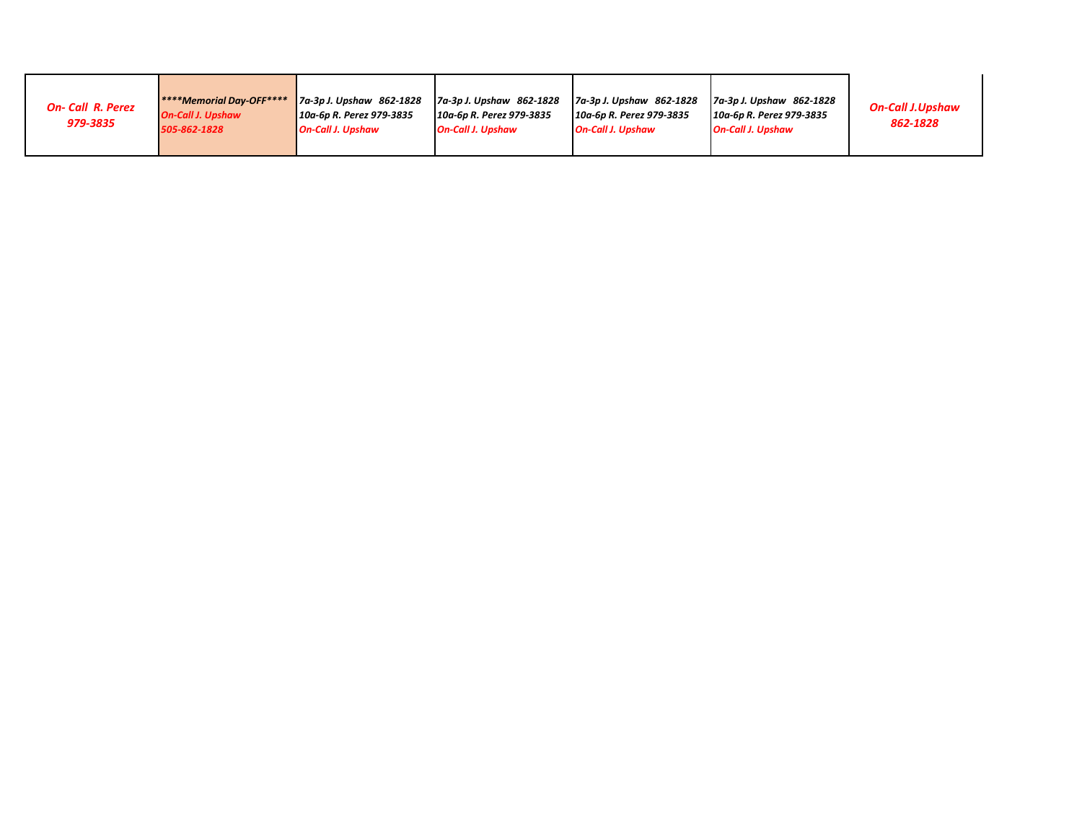| <b>On-Call R. Perez</b><br>979-3835 | <b>****Memorial Day-OFF****</b><br><b>On-Call J. Upshaw</b><br>505-862-1828 | 7a-3p J. Upshaw 862-1828<br>10a-6p R. Perez 979-3835<br><b>On-Call J. Upshaw</b> | 7a-3p J. Upshaw 862-1828<br>10a-6p R. Perez 979-3835<br><b>On-Call J. Upshaw</b> | 7a-3p J. Upshaw 862-1828<br>10a-6p R. Perez 979-3835<br><b>On-Call J. Upshaw</b> | 7a-3p J. Upshaw 862-1828<br>10a-6p R. Perez 979-3835<br><b>On-Call J. Upshaw</b> | <b>On-Call J.Upshaw</b><br>862-1828 |
|-------------------------------------|-----------------------------------------------------------------------------|----------------------------------------------------------------------------------|----------------------------------------------------------------------------------|----------------------------------------------------------------------------------|----------------------------------------------------------------------------------|-------------------------------------|
|-------------------------------------|-----------------------------------------------------------------------------|----------------------------------------------------------------------------------|----------------------------------------------------------------------------------|----------------------------------------------------------------------------------|----------------------------------------------------------------------------------|-------------------------------------|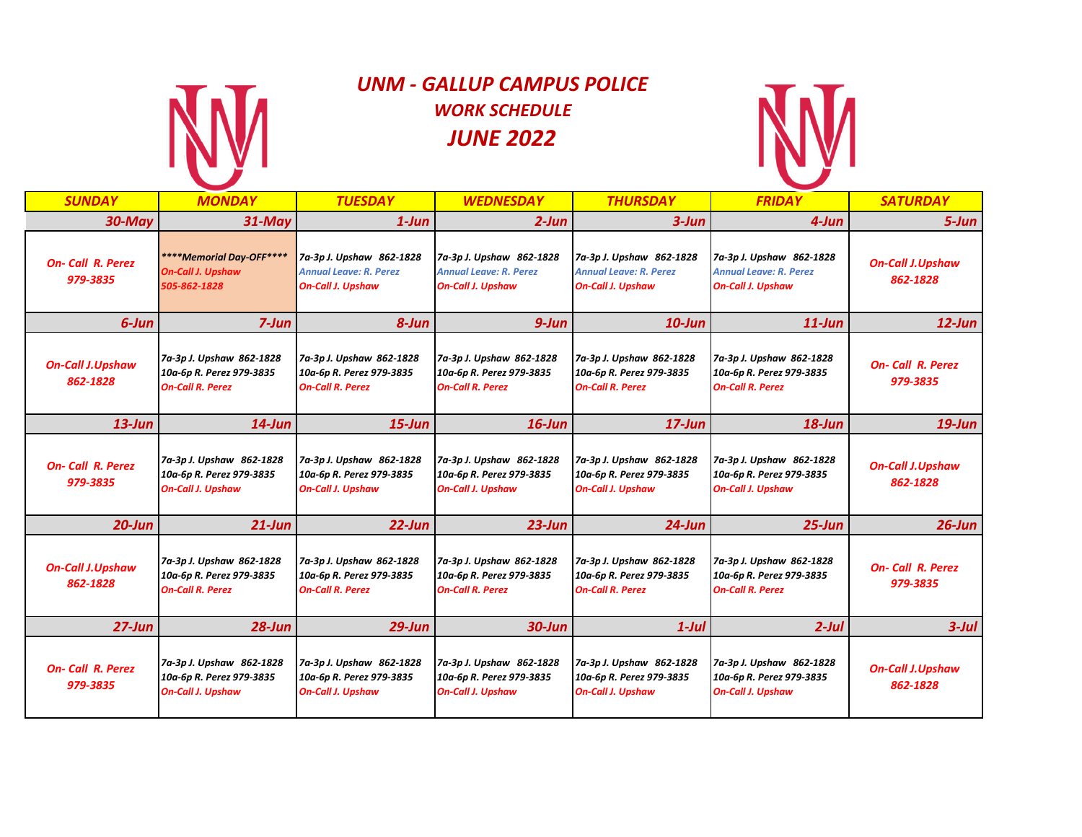

# *UNM - GALLUP CAMPUS POLICE WORK SCHEDULE JUNE 2022*



| <b>SUNDAY</b>                       | <b>MONDAY</b>                                                                    | <b>TUESDAY</b>                                                                        | <b>WEDNESDAY</b>                                                                      | <b>THURSDAY</b>                                                                       | <b>FRIDAY</b>                                                                         | <b>SATURDAY</b>                     |
|-------------------------------------|----------------------------------------------------------------------------------|---------------------------------------------------------------------------------------|---------------------------------------------------------------------------------------|---------------------------------------------------------------------------------------|---------------------------------------------------------------------------------------|-------------------------------------|
| $30$ -May                           | $31$ -May                                                                        | $1$ -Jun                                                                              | $2$ -Jun                                                                              | $3 - Jun$                                                                             | 4-Jun                                                                                 | $5 - Jun$                           |
| <b>On-Call R. Perez</b><br>979-3835 | ****Memorial Day-OFF****<br><b>On-Call J. Upshaw</b><br>505-862-1828             | 7a-3p J. Upshaw 862-1828<br><b>Annual Leave: R. Perez</b><br><b>On-Call J. Upshaw</b> | 7a-3p J. Upshaw 862-1828<br><b>Annual Leave: R. Perez</b><br><b>On-Call J. Upshaw</b> | 7a-3p J. Upshaw 862-1828<br><b>Annual Leave: R. Perez</b><br><b>On-Call J. Upshaw</b> | 7a-3p J. Upshaw 862-1828<br><b>Annual Leave: R. Perez</b><br><b>On-Call J. Upshaw</b> | <b>On-Call J.Upshaw</b><br>862-1828 |
| 6-Jun                               | $7 - Jun$                                                                        | 8-Jun                                                                                 | $9 - Jun$                                                                             | $10$ -Jun                                                                             | $11$ -Jun                                                                             | $12$ -Jun                           |
| <b>On-Call J.Upshaw</b><br>862-1828 | 7a-3p J. Upshaw 862-1828<br>10a-6p R. Perez 979-3835<br><b>On-Call R. Perez</b>  | 7a-3p J. Upshaw 862-1828<br>10a-6p R. Perez 979-3835<br><b>On-Call R. Perez</b>       | 7a-3p J. Upshaw 862-1828<br>10a-6p R. Perez 979-3835<br><b>On-Call R. Perez</b>       | 7a-3p J. Upshaw 862-1828<br>10a-6p R. Perez 979-3835<br><b>On-Call R. Perez</b>       | 7a-3p J. Upshaw 862-1828<br>10a-6p R. Perez 979-3835<br><b>On-Call R. Perez</b>       | <b>On-Call R. Perez</b><br>979-3835 |
| $13$ -Jun                           | $14$ -Jun                                                                        | $15$ -Jun                                                                             | $16$ -Jun                                                                             | $17$ -Jun                                                                             | $18$ -Jun                                                                             | $19$ -Jun                           |
| <b>On-Call R. Perez</b><br>979-3835 | 7a-3p J. Upshaw 862-1828<br>10a-6p R. Perez 979-3835<br><b>On-Call J. Upshaw</b> | 7a-3p J. Upshaw 862-1828<br>10a-6p R. Perez 979-3835<br><b>On-Call J. Upshaw</b>      | 7a-3p J. Upshaw 862-1828<br>10a-6p R. Perez 979-3835<br><b>On-Call J. Upshaw</b>      | 7a-3p J. Upshaw 862-1828<br>10a-6p R. Perez 979-3835<br><b>On-Call J. Upshaw</b>      | 7a-3p J. Upshaw 862-1828<br>10a-6p R. Perez 979-3835<br><b>On-Call J. Upshaw</b>      | <b>On-Call J.Upshaw</b><br>862-1828 |
| $20$ -Jun                           | $21$ -Jun                                                                        | $22$ -Jun                                                                             | $23$ -Jun                                                                             | $24$ -Jun                                                                             | $25 - Jun$                                                                            | $26$ -Jun                           |
| <b>On-Call J.Upshaw</b><br>862-1828 | 7a-3p J. Upshaw 862-1828<br>10a-6p R. Perez 979-3835<br><b>On-Call R. Perez</b>  | 7a-3p J. Upshaw 862-1828<br>10a-6p R. Perez 979-3835<br><b>On-Call R. Perez</b>       | 7a-3p J. Upshaw 862-1828<br>10a-6p R. Perez 979-3835<br><b>On-Call R. Perez</b>       | 7a-3p J. Upshaw 862-1828<br>10a-6p R. Perez 979-3835<br><b>On-Call R. Perez</b>       | 7a-3p J. Upshaw 862-1828<br>10a-6p R. Perez 979-3835<br><b>On-Call R. Perez</b>       | <b>On-Call R. Perez</b><br>979-3835 |
| $27 - Jun$                          | $28$ -Jun                                                                        | $29$ -Jun                                                                             | $30$ -Jun                                                                             | 1-Jul                                                                                 | 2-Jul                                                                                 | $3$ -Jul                            |
| <b>On-Call R. Perez</b><br>979-3835 | 7a-3p J. Upshaw 862-1828<br>10a-6p R. Perez 979-3835<br><b>On-Call J. Upshaw</b> | 7a-3p J. Upshaw 862-1828<br>10a-6p R. Perez 979-3835<br><b>On-Call J. Upshaw</b>      | 7a-3p J. Upshaw 862-1828<br>10a-6p R. Perez 979-3835<br><b>On-Call J. Upshaw</b>      | 7a-3p J. Upshaw 862-1828<br>10a-6p R. Perez 979-3835<br><b>On-Call J. Upshaw</b>      | 7a-3p J. Upshaw 862-1828<br>10a-6p R. Perez 979-3835<br><b>On-Call J. Upshaw</b>      | <b>On-Call J.Upshaw</b><br>862-1828 |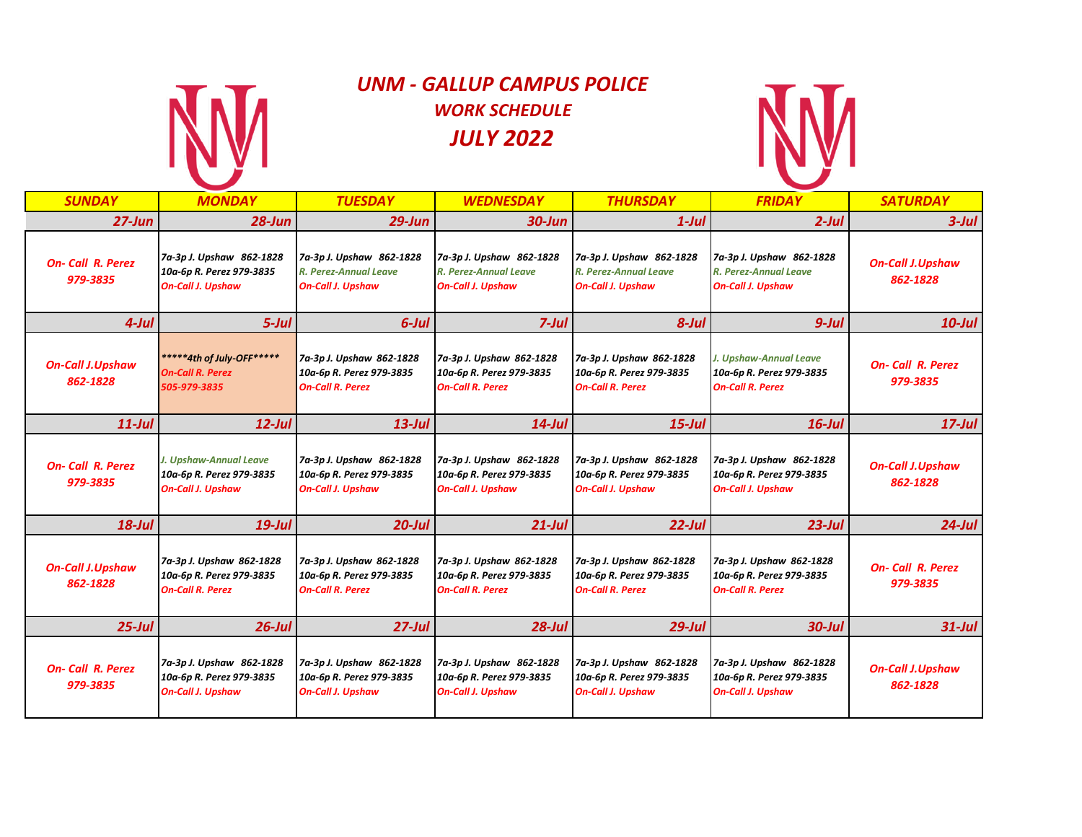

# *UNM - GALLUP CAMPUS POLICE WORK SCHEDULE JULY 2022*



| <b>SUNDAY</b>                       | <b>MONDAY</b>                                                                    | <b>TUESDAY</b>                                                                   | <b>WEDNESDAY</b>                                                                 | <b>THURSDAY</b>                                                                  | <b>FRIDAY</b>                                                                        | <b>SATURDAY</b>                     |
|-------------------------------------|----------------------------------------------------------------------------------|----------------------------------------------------------------------------------|----------------------------------------------------------------------------------|----------------------------------------------------------------------------------|--------------------------------------------------------------------------------------|-------------------------------------|
| $27 - Jun$                          | $28 - Jun$                                                                       | $29$ -Jun                                                                        | $30$ -Jun                                                                        | $1$ -Jul                                                                         | $2$ -Jul                                                                             | $3$ -Jul                            |
| <b>On-Call R. Perez</b><br>979-3835 | 7a-3p J. Upshaw 862-1828<br>10a-6p R. Perez 979-3835<br><b>On-Call J. Upshaw</b> | 7a-3p J. Upshaw 862-1828<br>R. Perez-Annual Leave<br><b>On-Call J. Upshaw</b>    | 7a-3p J. Upshaw 862-1828<br>R. Perez-Annual Leave<br><b>On-Call J. Upshaw</b>    | 7a-3p J. Upshaw 862-1828<br>R. Perez-Annual Leave<br><b>On-Call J. Upshaw</b>    | 7a-3p J. Upshaw 862-1828<br>R. Perez-Annual Leave<br><b>On-Call J. Upshaw</b>        | <b>On-Call J.Upshaw</b><br>862-1828 |
| $4$ -Jul                            | $5$ -Jul                                                                         | $6$ -Jul                                                                         | $7$ -Jul                                                                         | $8$ -Jul                                                                         | $9$ -Jul                                                                             | $10$ -Jul                           |
| <b>On-Call J.Upshaw</b><br>862-1828 | *****4th of July-OFF*****<br><b>On-Call R. Perez</b><br>505-979-3835             | 7a-3p J. Upshaw 862-1828<br>10a-6p R. Perez 979-3835<br><b>On-Call R. Perez</b>  | 7a-3p J. Upshaw 862-1828<br>10a-6p R. Perez 979-3835<br><b>On-Call R. Perez</b>  | 7a-3p J. Upshaw 862-1828<br>10a-6p R. Perez 979-3835<br><b>On-Call R. Perez</b>  | <b>J. Upshaw-Annual Leave</b><br>10a-6p R. Perez 979-3835<br><b>On-Call R. Perez</b> | <b>On-Call R. Perez</b><br>979-3835 |
| $11$ -Jul                           | $12$ -Jul                                                                        | $13$ -Jul                                                                        | $14$ -Jul                                                                        | $15$ -Jul                                                                        | $16$ -Jul                                                                            | $17$ -Jul                           |
| <b>On-Call R. Perez</b><br>979-3835 | J. Upshaw-Annual Leave<br>10a-6p R. Perez 979-3835<br><b>On-Call J. Upshaw</b>   | 7a-3p J. Upshaw 862-1828<br>10a-6p R. Perez 979-3835<br><b>On-Call J. Upshaw</b> | 7a-3p J. Upshaw 862-1828<br>10a-6p R. Perez 979-3835<br><b>On-Call J. Upshaw</b> | 7a-3p J. Upshaw 862-1828<br>10a-6p R. Perez 979-3835<br><b>On-Call J. Upshaw</b> | 7a-3p J. Upshaw 862-1828<br>10a-6p R. Perez 979-3835<br><b>On-Call J. Upshaw</b>     | <b>On-Call J.Upshaw</b><br>862-1828 |
| $18$ -Jul                           | $19$ -Jul                                                                        | $20$ -Jul                                                                        | $21$ -Jul                                                                        | $22$ -Jul                                                                        | $23$ -Jul                                                                            | $24$ -Jul                           |
| <b>On-Call J.Upshaw</b><br>862-1828 | 7a-3p J. Upshaw 862-1828<br>10a-6p R. Perez 979-3835<br><b>On-Call R. Perez</b>  | 7a-3p J. Upshaw 862-1828<br>10a-6p R. Perez 979-3835<br><b>On-Call R. Perez</b>  | 7a-3p J. Upshaw 862-1828<br>10a-6p R. Perez 979-3835<br><b>On-Call R. Perez</b>  | 7a-3p J. Upshaw 862-1828<br>10a-6p R. Perez 979-3835<br><b>On-Call R. Perez</b>  | 7a-3p J. Upshaw 862-1828<br>10a-6p R. Perez 979-3835<br><b>On-Call R. Perez</b>      | <b>On-Call R. Perez</b><br>979-3835 |
| $25$ -Jul                           | $26$ -Jul                                                                        | $27$ -Jul                                                                        | $28$ -Jul                                                                        | $29$ -Jul                                                                        | 30-Jul                                                                               | $31$ -Jul                           |
| <b>On-Call R. Perez</b><br>979-3835 | 7a-3p J. Upshaw 862-1828<br>10a-6p R. Perez 979-3835<br><b>On-Call J. Upshaw</b> | 7a-3p J. Upshaw 862-1828<br>10a-6p R. Perez 979-3835<br><b>On-Call J. Upshaw</b> | 7a-3p J. Upshaw 862-1828<br>10a-6p R. Perez 979-3835<br><b>On-Call J. Upshaw</b> | 7a-3p J. Upshaw 862-1828<br>10a-6p R. Perez 979-3835<br><b>On-Call J. Upshaw</b> | 7a-3p J. Upshaw 862-1828<br>10a-6p R. Perez 979-3835<br><b>On-Call J. Upshaw</b>     | <b>On-Call J.Upshaw</b><br>862-1828 |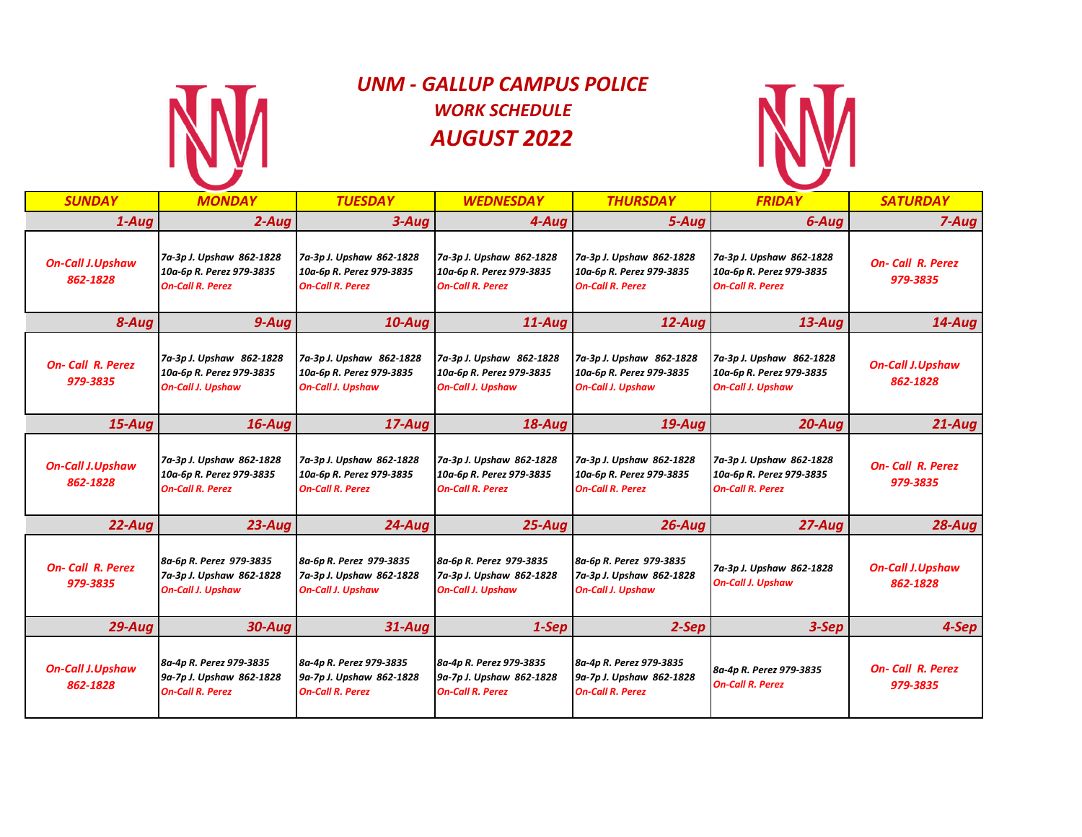

# *UNM - GALLUP CAMPUS POLICE WORK SCHEDULE AUGUST 2022*



| <b>SUNDAY</b>                       | <b>MONDAY</b>                                                                    | <b>TUESDAY</b>                                                                   | <b>WEDNESDAY</b>                                                                 | <b>THURSDAY</b>                                                                  | <b>FRIDAY</b>                                                                    | <b>SATURDAY</b>                     |
|-------------------------------------|----------------------------------------------------------------------------------|----------------------------------------------------------------------------------|----------------------------------------------------------------------------------|----------------------------------------------------------------------------------|----------------------------------------------------------------------------------|-------------------------------------|
| $1-Auq$                             | $2 - Aug$                                                                        | $3 - Aug$                                                                        | 4-Aua                                                                            | 5-Aug                                                                            | 6-Aug                                                                            | $7 - Aug$                           |
| <b>On-Call J.Upshaw</b><br>862-1828 | 7a-3p J. Upshaw 862-1828<br>10a-6p R. Perez 979-3835<br><b>On-Call R. Perez</b>  | 7a-3p J. Upshaw 862-1828<br>10a-6p R. Perez 979-3835<br><b>On-Call R. Perez</b>  | 7a-3p J. Upshaw 862-1828<br>10a-6p R. Perez 979-3835<br><b>On-Call R. Perez</b>  | 7a-3p J. Upshaw 862-1828<br>10a-6p R. Perez 979-3835<br><b>On-Call R. Perez</b>  | 7a-3p J. Upshaw 862-1828<br>10a-6p R. Perez 979-3835<br><b>On-Call R. Perez</b>  | <b>On-Call R. Perez</b><br>979-3835 |
| 8-Aug                               | $9 - Aug$                                                                        | $10$ -Aug                                                                        | $11$ -Auq                                                                        | 12-Aug                                                                           | $13 - Aug$                                                                       | $14$ -Aug                           |
| <b>On-Call R. Perez</b><br>979-3835 | 7a-3p J. Upshaw 862-1828<br>10a-6p R. Perez 979-3835<br><b>On-Call J. Upshaw</b> | 7a-3p J. Upshaw 862-1828<br>10a-6p R. Perez 979-3835<br><b>On-Call J. Upshaw</b> | 7a-3p J. Upshaw 862-1828<br>10a-6p R. Perez 979-3835<br><b>On-Call J. Upshaw</b> | 7a-3p J. Upshaw 862-1828<br>10a-6p R. Perez 979-3835<br><b>On-Call J. Upshaw</b> | 7a-3p J. Upshaw 862-1828<br>10a-6p R. Perez 979-3835<br><b>On-Call J. Upshaw</b> | <b>On-Call J.Upshaw</b><br>862-1828 |
| $15 - Aug$                          | $16$ -Aug                                                                        | $17 - Aug$                                                                       | $18 - Aug$                                                                       | $19 - Aug$                                                                       | $20 - Aug$                                                                       | $21 - Aug$                          |
| <b>On-Call J.Upshaw</b><br>862-1828 | 7a-3p J. Upshaw 862-1828<br>10a-6p R. Perez 979-3835<br><b>On-Call R. Perez</b>  | 7a-3p J. Upshaw 862-1828<br>10a-6p R. Perez 979-3835<br><b>On-Call R. Perez</b>  | 7a-3p J. Upshaw 862-1828<br>10a-6p R. Perez 979-3835<br><b>On-Call R. Perez</b>  | 7a-3p J. Upshaw 862-1828<br>10a-6p R. Perez 979-3835<br><b>On-Call R. Perez</b>  | 7a-3p J. Upshaw 862-1828<br>10a-6p R. Perez 979-3835<br><b>On-Call R. Perez</b>  | <b>On-Call R. Perez</b><br>979-3835 |
| $22$ -Aug                           | $23 - Aug$                                                                       | $24 - Aug$                                                                       | $25 - Aug$                                                                       | $26$ -Aug                                                                        | 27-Aug                                                                           | $28 - Aug$                          |
| <b>On-Call R. Perez</b><br>979-3835 | 8a-6p R. Perez 979-3835<br>7a-3p J. Upshaw 862-1828<br><b>On-Call J. Upshaw</b>  | 8a-6p R. Perez 979-3835<br>7a-3p J. Upshaw 862-1828<br><b>On-Call J. Upshaw</b>  | 8a-6p R. Perez 979-3835<br>7a-3p J. Upshaw 862-1828<br><b>On-Call J. Upshaw</b>  | 8a-6p R. Perez 979-3835<br>7a-3p J. Upshaw 862-1828<br><b>On-Call J. Upshaw</b>  | 7a-3p J. Upshaw 862-1828<br><b>On-Call J. Upshaw</b>                             | <b>On-Call J.Upshaw</b><br>862-1828 |
| $29 - Aug$                          | $30 - Aug$                                                                       | 31-Aug                                                                           | 1-Sep                                                                            | 2-Sep                                                                            | 3-Sep                                                                            | 4-Sep                               |
| <b>On-Call J.Upshaw</b><br>862-1828 | 8a-4p R. Perez 979-3835<br>9a-7p J. Upshaw 862-1828<br><b>On-Call R. Perez</b>   | 8a-4p R. Perez 979-3835<br>9a-7p J. Upshaw 862-1828<br><b>On-Call R. Perez</b>   | 8a-4p R. Perez 979-3835<br>9a-7p J. Upshaw 862-1828<br><b>On-Call R. Perez</b>   | 8a-4p R. Perez 979-3835<br>9a-7p J. Upshaw 862-1828<br><b>On-Call R. Perez</b>   | 8a-4p R. Perez 979-3835<br><b>On-Call R. Perez</b>                               | <b>On-Call R. Perez</b><br>979-3835 |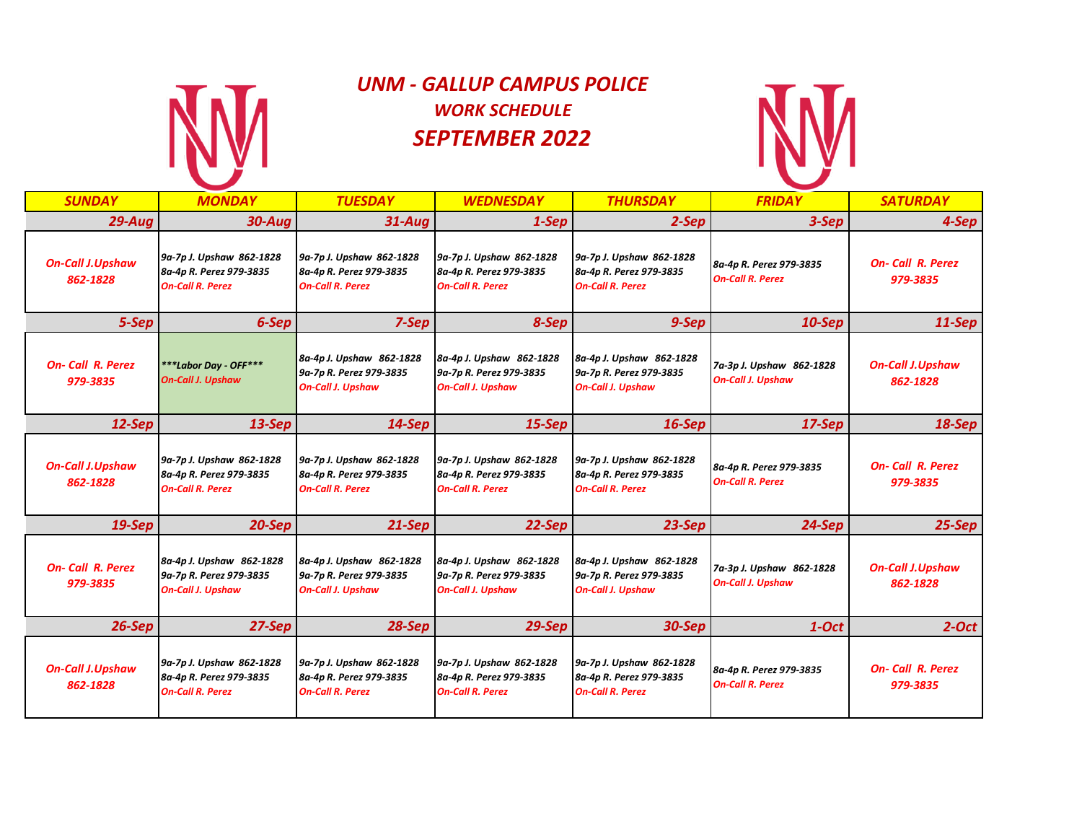

# *UNM - GALLUP CAMPUS POLICE WORK SCHEDULE SEPTEMBER 2022*



| <b>SUNDAY</b>                       | <b>MONDAY</b>                                                                   | <b>TUESDAY</b>                                                                  | <b>WEDNESDAY</b>                                                                | <b>THURSDAY</b>                                                                 | <b>FRIDAY</b>                                        | <b>SATURDAY</b>                     |
|-------------------------------------|---------------------------------------------------------------------------------|---------------------------------------------------------------------------------|---------------------------------------------------------------------------------|---------------------------------------------------------------------------------|------------------------------------------------------|-------------------------------------|
| $29 - Aug$                          | <b>30-Aua</b>                                                                   | $31 - A u$ a                                                                    | 1-Sep                                                                           | 2-Sep                                                                           | 3-Sep                                                | 4-Sep                               |
| <b>On-Call J.Upshaw</b><br>862-1828 | 9a-7p J. Upshaw 862-1828<br>8a-4p R. Perez 979-3835<br><b>On-Call R. Perez</b>  | 9a-7p J. Upshaw 862-1828<br>8a-4p R. Perez 979-3835<br><b>On-Call R. Perez</b>  | 9a-7p J. Upshaw 862-1828<br>8a-4p R. Perez 979-3835<br><b>On-Call R. Perez</b>  | 9a-7p J. Upshaw 862-1828<br>8a-4p R. Perez 979-3835<br><b>On-Call R. Perez</b>  | 8a-4p R. Perez 979-3835<br><b>On-Call R. Perez</b>   | <b>On-Call R. Perez</b><br>979-3835 |
| 5-Sep                               | 6-Sep                                                                           | $7-Sep$                                                                         | 8-Sep                                                                           | 9-Sep                                                                           | $10-$ Sep                                            | $11-Sep$                            |
| <b>On-Call R. Perez</b><br>979-3835 | ***Labor Day - OFF***<br><b>On-Call J. Upshaw</b>                               | 8a-4p J. Upshaw 862-1828<br>9a-7p R. Perez 979-3835<br><b>On-Call J. Upshaw</b> | 8a-4p J. Upshaw 862-1828<br>9a-7p R. Perez 979-3835<br><b>On-Call J. Upshaw</b> | 8a-4p J. Upshaw 862-1828<br>9a-7p R. Perez 979-3835<br><b>On-Call J. Upshaw</b> | 7a-3p J. Upshaw 862-1828<br><b>On-Call J. Upshaw</b> | <b>On-Call J.Upshaw</b><br>862-1828 |
| $12-Sep$                            | $13-Sep$                                                                        | $14-Sep$                                                                        | $15-$ Sep                                                                       | $16-Sep$                                                                        | $17-$ Sep                                            | $18-$ Sep                           |
| <b>On-Call J.Upshaw</b><br>862-1828 | 9a-7p J. Upshaw 862-1828<br>8a-4p R. Perez 979-3835<br><b>On-Call R. Perez</b>  | 9a-7p J. Upshaw 862-1828<br>8a-4p R. Perez 979-3835<br><b>On-Call R. Perez</b>  | 9a-7p J. Upshaw 862-1828<br>8a-4p R. Perez 979-3835<br><b>On-Call R. Perez</b>  | 9a-7p J. Upshaw 862-1828<br>8a-4p R. Perez 979-3835<br><b>On-Call R. Perez</b>  | 8a-4p R. Perez 979-3835<br><b>On-Call R. Perez</b>   | <b>On-Call R. Perez</b><br>979-3835 |
| $19-$ Sep                           | $20-Sep$                                                                        | $21-Sep$                                                                        | $22-Sep$                                                                        | $23-Sep$                                                                        | $24-Sep$                                             | $25-Sep$                            |
| <b>On-Call R. Perez</b><br>979-3835 | 8a-4p J. Upshaw 862-1828<br>9a-7p R. Perez 979-3835<br><b>On-Call J. Upshaw</b> | 8a-4p J. Upshaw 862-1828<br>9a-7p R. Perez 979-3835<br><b>On-Call J. Upshaw</b> | 8a-4p J. Upshaw 862-1828<br>9a-7p R. Perez 979-3835<br><b>On-Call J. Upshaw</b> | 8a-4p J. Upshaw 862-1828<br>9a-7p R. Perez 979-3835<br><b>On-Call J. Upshaw</b> | 7a-3p J. Upshaw 862-1828<br><b>On-Call J. Upshaw</b> | <b>On-Call J.Upshaw</b><br>862-1828 |
| $26-Sep$                            | $27-Sep$                                                                        | $28-Sep$                                                                        | $29-$ Sep                                                                       | 30-Sep                                                                          | $1-Oct$                                              | $2$ -Oct                            |
| <b>On-Call J.Upshaw</b><br>862-1828 | 9a-7p J. Upshaw 862-1828<br>8a-4p R. Perez 979-3835<br><b>On-Call R. Perez</b>  | 9a-7p J. Upshaw 862-1828<br>8a-4p R. Perez 979-3835<br><b>On-Call R. Perez</b>  | 9a-7p J. Upshaw 862-1828<br>8a-4p R. Perez 979-3835<br><b>On-Call R. Perez</b>  | 9a-7p J. Upshaw 862-1828<br>8a-4p R. Perez 979-3835<br><b>On-Call R. Perez</b>  | 8a-4p R. Perez 979-3835<br><b>On-Call R. Perez</b>   | <b>On-Call R. Perez</b><br>979-3835 |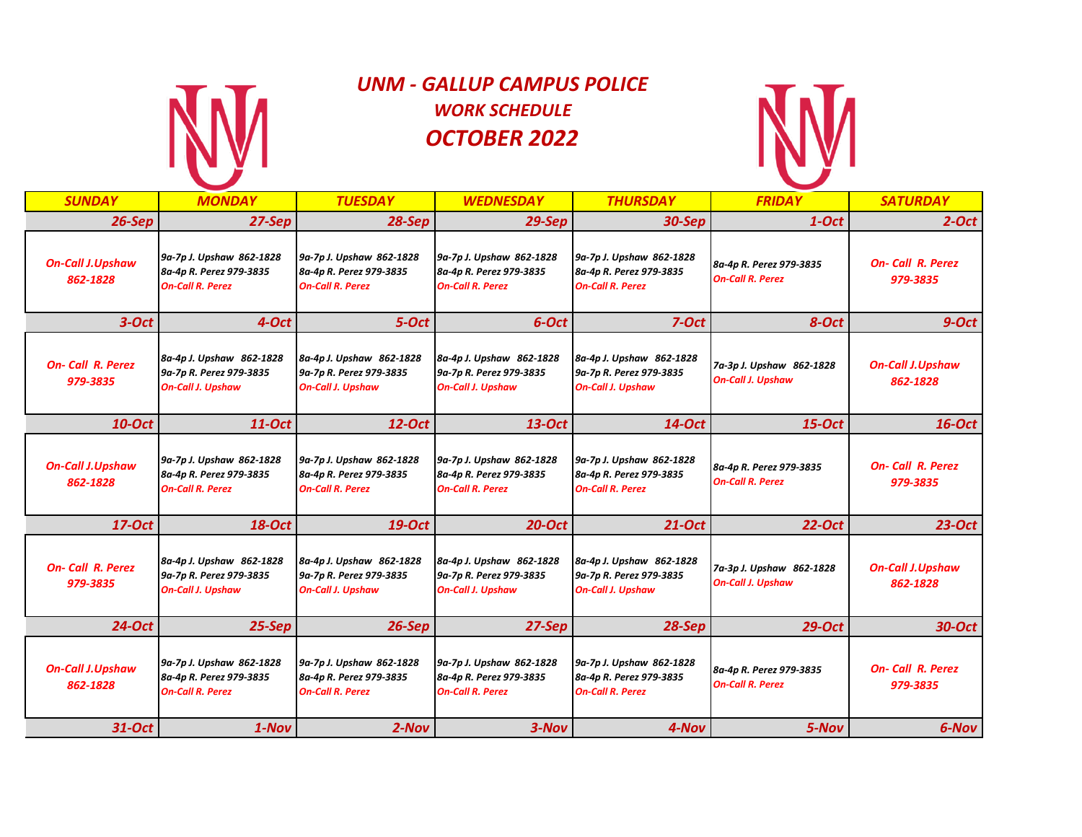

# *UNM - GALLUP CAMPUS POLICE WORK SCHEDULE OCTOBER 2022*



| <b>SUNDAY</b>                       | <b>MONDAY</b>                                                                   | <b>TUESDAY</b>                                                                  | <b>WEDNESDAY</b>                                                                | <b>THURSDAY</b>                                                                 | <b>FRIDAY</b>                                        | <b>SATURDAY</b>                     |
|-------------------------------------|---------------------------------------------------------------------------------|---------------------------------------------------------------------------------|---------------------------------------------------------------------------------|---------------------------------------------------------------------------------|------------------------------------------------------|-------------------------------------|
| $26-Sep$                            | $27-Sep$                                                                        | $28-Sep$                                                                        | $29-$ Sep                                                                       | <b>30-Sep</b>                                                                   | $1-Oct$                                              | $2$ -Oct                            |
| <b>On-Call J.Upshaw</b><br>862-1828 | 9a-7p J. Upshaw 862-1828<br>8a-4p R. Perez 979-3835<br><b>On-Call R. Perez</b>  | 9a-7p J. Upshaw 862-1828<br>8a-4p R. Perez 979-3835<br><b>On-Call R. Perez</b>  | 9a-7p J. Upshaw 862-1828<br>8a-4p R. Perez 979-3835<br><b>On-Call R. Perez</b>  | 9a-7p J. Upshaw 862-1828<br>8a-4p R. Perez 979-3835<br><b>On-Call R. Perez</b>  | 8a-4p R. Perez 979-3835<br><b>On-Call R. Perez</b>   | <b>On-Call R. Perez</b><br>979-3835 |
| $3-Oct$                             | 4-Oct                                                                           | $5-Oct$                                                                         | 6-Oct                                                                           | $7-Oct$                                                                         | 8-Oct                                                | $9$ -Oct                            |
| <b>On-Call R. Perez</b><br>979-3835 | 8a-4p J. Upshaw 862-1828<br>9a-7p R. Perez 979-3835<br><b>On-Call J. Upshaw</b> | 8a-4p J. Upshaw 862-1828<br>9a-7p R. Perez 979-3835<br><b>On-Call J. Upshaw</b> | 8a-4p J. Upshaw 862-1828<br>9a-7p R. Perez 979-3835<br><b>On-Call J. Upshaw</b> | 8a-4p J. Upshaw 862-1828<br>9a-7p R. Perez 979-3835<br><b>On-Call J. Upshaw</b> | 7a-3p J. Upshaw 862-1828<br><b>On-Call J. Upshaw</b> | <b>On-Call J.Upshaw</b><br>862-1828 |
| <b>10-Oct</b>                       | $11-Oct$                                                                        | 12-Oct                                                                          | $13$ -Oct                                                                       | $14$ -Oct                                                                       | $15$ -Oct                                            | $16$ -Oct                           |
| <b>On-Call J.Upshaw</b><br>862-1828 | 9a-7p J. Upshaw 862-1828<br>8a-4p R. Perez 979-3835<br><b>On-Call R. Perez</b>  | 9a-7p J. Upshaw 862-1828<br>8a-4p R. Perez 979-3835<br><b>On-Call R. Perez</b>  | 9a-7p J. Upshaw 862-1828<br>8a-4p R. Perez 979-3835<br><b>On-Call R. Perez</b>  | 9a-7p J. Upshaw 862-1828<br>8a-4p R. Perez 979-3835<br><b>On-Call R. Perez</b>  | 8a-4p R. Perez 979-3835<br><b>On-Call R. Perez</b>   | <b>On-Call R. Perez</b><br>979-3835 |
| 17-Oct                              | <b>18-Oct</b>                                                                   | 19-Oct                                                                          | <b>20-Oct</b>                                                                   | $21$ -Oct                                                                       | <b>22-Oct</b>                                        | $23-Oct$                            |
| <b>On-Call R. Perez</b><br>979-3835 | 8a-4p J. Upshaw 862-1828<br>9a-7p R. Perez 979-3835<br><b>On-Call J. Upshaw</b> | 8a-4p J. Upshaw 862-1828<br>9a-7p R. Perez 979-3835<br><b>On-Call J. Upshaw</b> | 8a-4p J. Upshaw 862-1828<br>9a-7p R. Perez 979-3835<br><b>On-Call J. Upshaw</b> | 8a-4p J. Upshaw 862-1828<br>9a-7p R. Perez 979-3835<br><b>On-Call J. Upshaw</b> | 7a-3p J. Upshaw 862-1828<br><b>On-Call J. Upshaw</b> | <b>On-Call J.Upshaw</b><br>862-1828 |
| 24-Oct                              | $25-Sep$                                                                        | $26-Sep$                                                                        | $27-Sep$                                                                        | $28-$ Sep                                                                       | <b>29-Oct</b>                                        | 30-Oct                              |
| <b>On-Call J.Upshaw</b><br>862-1828 | 9a-7p J. Upshaw 862-1828<br>8a-4p R. Perez 979-3835<br><b>On-Call R. Perez</b>  | 9a-7p J. Upshaw 862-1828<br>8a-4p R. Perez 979-3835<br><b>On-Call R. Perez</b>  | 9a-7p J. Upshaw 862-1828<br>8a-4p R. Perez 979-3835<br><b>On-Call R. Perez</b>  | 9a-7p J. Upshaw 862-1828<br>8a-4p R. Perez 979-3835<br><b>On-Call R. Perez</b>  | 8a-4p R. Perez 979-3835<br><b>On-Call R. Perez</b>   | <b>On-Call R. Perez</b><br>979-3835 |
| 31-Oct                              | $1-Nov$                                                                         | $2-Nov$                                                                         | $3-Nov$                                                                         | 4-Nov                                                                           | 5-Nov                                                | 6-Nov                               |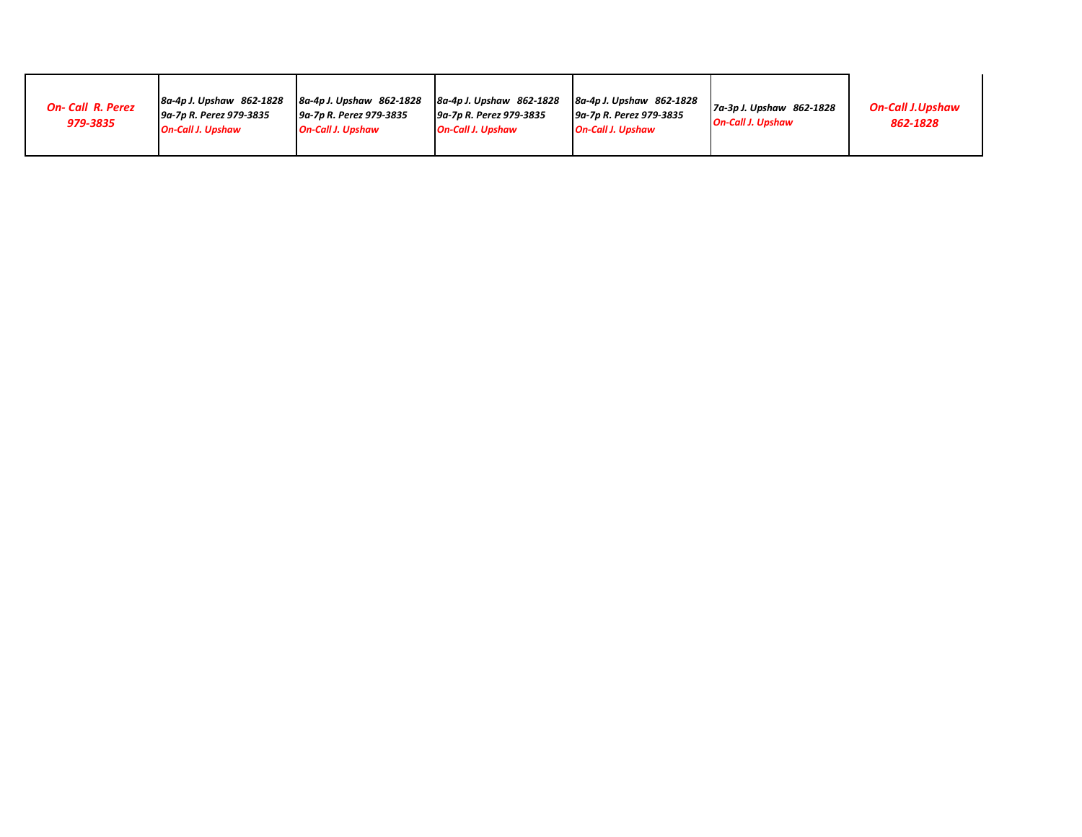| <b>On-Call R. Perez</b><br>979-3835 | 8a-4p J. Upshaw 862-1828<br><u>   9a-7p R. Perez 979-3835</u><br><b>On-Call J. Upshaw</b> | 8a-4p J. Upshaw 862-1828<br>9a-7p R. Perez 979-3835<br><b>On-Call J. Upshaw</b> | 8a-4p J. Upshaw 862-1828<br>9a-7p R. Perez 979-3835<br><b>On-Call J. Upshaw</b> | 8a-4p J. Upshaw 862-1828<br>9a-7p R. Perez 979-3835<br><b>On-Call J. Upshaw</b> | 7a-3p J. Upshaw 862-1828<br><b>On-Call J. Upshaw</b> | <b>On-Call J.Upshaw</b><br>862-1828 |
|-------------------------------------|-------------------------------------------------------------------------------------------|---------------------------------------------------------------------------------|---------------------------------------------------------------------------------|---------------------------------------------------------------------------------|------------------------------------------------------|-------------------------------------|
|-------------------------------------|-------------------------------------------------------------------------------------------|---------------------------------------------------------------------------------|---------------------------------------------------------------------------------|---------------------------------------------------------------------------------|------------------------------------------------------|-------------------------------------|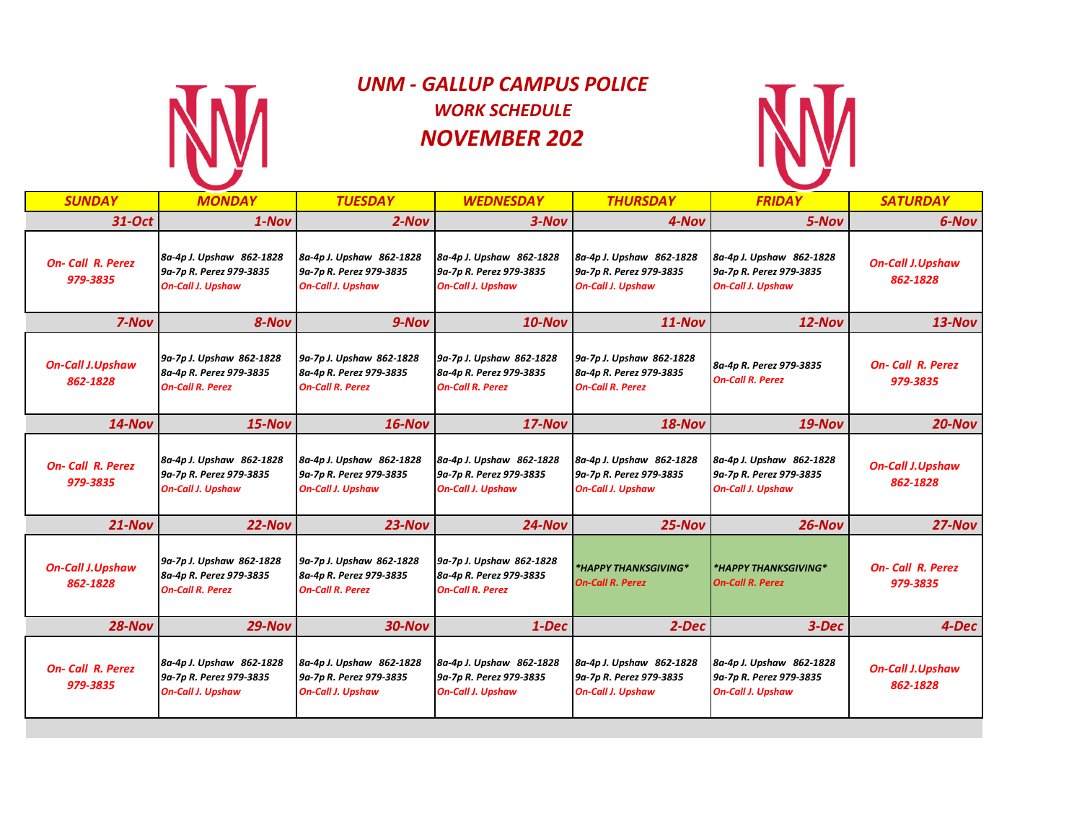

## *UNM - GALLUP CAMPUS POLICE WORK SCHEDULE NOVEMBER 202*



| <b>SUNDAY</b>                       | <b>MONDAY</b>                                                                   | <b>TUESDAY</b>                                                                  | <b>WEDNESDAY</b>                                                                | <b>THURSDAY</b>                                                                 | <b>FRIDAY</b>                                                                   | <b>SATURDAY</b>                     |
|-------------------------------------|---------------------------------------------------------------------------------|---------------------------------------------------------------------------------|---------------------------------------------------------------------------------|---------------------------------------------------------------------------------|---------------------------------------------------------------------------------|-------------------------------------|
| 31-Oct                              | $1 - Nov$                                                                       | $2-Nov$                                                                         | $3-Nov$                                                                         | 4-Nov                                                                           | 5-Nov                                                                           | 6-Nov                               |
| <b>On-Call R. Perez</b><br>979-3835 | 8a-4p J. Upshaw 862-1828<br>9a-7p R. Perez 979-3835<br><b>On-Call J. Upshaw</b> | 8a-4p J. Upshaw 862-1828<br>9a-7p R. Perez 979-3835<br><b>On-Call J. Upshaw</b> | 8a-4p J. Upshaw 862-1828<br>9a-7p R. Perez 979-3835<br><b>On-Call J. Upshaw</b> | 8a-4p J. Upshaw 862-1828<br>9a-7p R. Perez 979-3835<br><b>On-Call J. Upshaw</b> | 8a-4p J. Upshaw 862-1828<br>9a-7p R. Perez 979-3835<br><b>On-Call J. Upshaw</b> | <b>On-Call J.Upshaw</b><br>862-1828 |
| 7-Nov                               | 8-Nov                                                                           | 9-Nov                                                                           | $10$ -Nov                                                                       | $11-Nov$                                                                        | $12$ -Nov                                                                       | $13-Nov$                            |
| <b>On-Call J.Upshaw</b><br>862-1828 | 9a-7p J. Upshaw 862-1828<br>8a-4p R. Perez 979-3835<br><b>On-Call R. Perez</b>  | 9a-7p J. Upshaw 862-1828<br>8a-4p R. Perez 979-3835<br><b>On-Call R. Perez</b>  | 9a-7p J. Upshaw 862-1828<br>8a-4p R. Perez 979-3835<br><b>On-Call R. Perez</b>  | 9a-7p J. Upshaw 862-1828<br>8a-4p R. Perez 979-3835<br><b>On-Call R. Perez</b>  | 8a-4p R. Perez 979-3835<br><b>On-Call R. Perez</b>                              | <b>On-Call R. Perez</b><br>979-3835 |
| $14$ -Nov                           | $15-Nov$                                                                        | $16$ -Nov                                                                       | $17-Nov$                                                                        | $18-Nov$                                                                        | $19-Nov$                                                                        | $20$ -Nov                           |
| <b>On-Call R. Perez</b><br>979-3835 | 8a-4p J. Upshaw 862-1828<br>9a-7p R. Perez 979-3835<br><b>On-Call J. Upshaw</b> | 8a-4p J. Upshaw 862-1828<br>9a-7p R. Perez 979-3835<br><b>On-Call J. Upshaw</b> | 8a-4p J. Upshaw 862-1828<br>9a-7p R. Perez 979-3835<br><b>On-Call J. Upshaw</b> | 8a-4p J. Upshaw 862-1828<br>9a-7p R. Perez 979-3835<br><b>On-Call J. Upshaw</b> | 8a-4p J. Upshaw 862-1828<br>9a-7p R. Perez 979-3835<br><b>On-Call J. Upshaw</b> | <b>On-Call J.Upshaw</b><br>862-1828 |
| $21 - Nov$                          | $22-Nov$                                                                        | $23-Nov$                                                                        | $24$ -Nov                                                                       | $25$ -Nov                                                                       | $26$ -Nov                                                                       | $27-Nov$                            |
| <b>On-Call J.Upshaw</b><br>862-1828 | 9a-7p J. Upshaw 862-1828<br>8a-4p R. Perez 979-3835<br><b>On-Call R. Perez</b>  | 9a-7p J. Upshaw 862-1828<br>8a-4p R. Perez 979-3835<br><b>On-Call R. Perez</b>  | 9a-7p J. Upshaw 862-1828<br>8a-4p R. Perez 979-3835<br><b>On-Call R. Perez</b>  | *HAPPY THANKSGIVING*<br><b>On-Call R. Perez</b>                                 | *HAPPY THANKSGIVING*<br><b>On-Call R. Perez</b>                                 | <b>On-Call R. Perez</b><br>979-3835 |
| $28-Nov$                            | $29-Nov$                                                                        | $30-Nov$                                                                        | $1 - Dec$                                                                       | $2 - Dec$                                                                       | $3 - Dec$                                                                       | $4-Dec$                             |
| <b>On-Call R. Perez</b><br>979-3835 | 8a-4p J. Upshaw 862-1828<br>9a-7p R. Perez 979-3835<br><b>On-Call J. Upshaw</b> | 8a-4p J. Upshaw 862-1828<br>9a-7p R. Perez 979-3835<br><b>On-Call J. Upshaw</b> | 8a-4p J. Upshaw 862-1828<br>9a-7p R. Perez 979-3835<br><b>On-Call J. Upshaw</b> | 8a-4p J. Upshaw 862-1828<br>9a-7p R. Perez 979-3835<br><b>On-Call J. Upshaw</b> | 8a-4p J. Upshaw 862-1828<br>9a-7p R. Perez 979-3835<br><b>On-Call J. Upshaw</b> | <b>On-Call J.Upshaw</b><br>862-1828 |